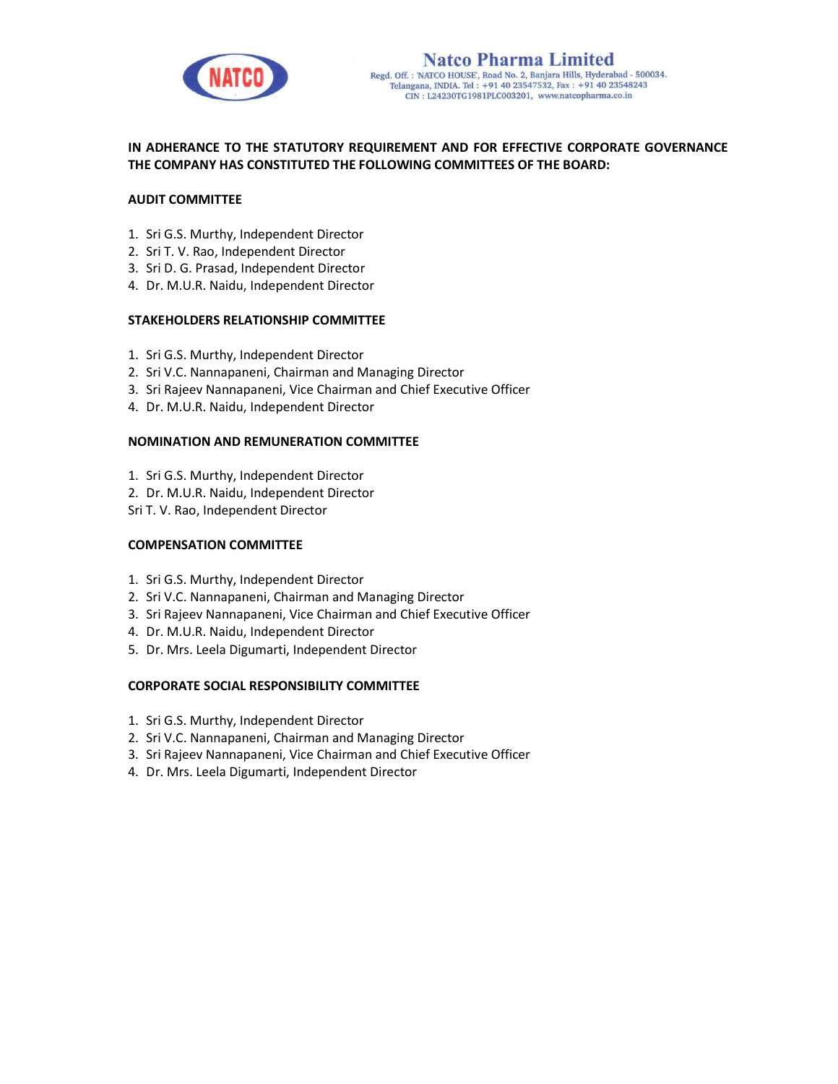

# IN ADHERANCE TO THE STATUTORY REQUIREMENT AND FOR EFFECTIVE CORPORATE GOVERNANCE THE COMPANY HAS CONSTITUTED THE FOLLOWING COMMITTEES OF THE BOARD:

### AUDIT COMMITTEE

- 1. Sri G.S. Murthy, Independent Director
- 2. Sri T. V. Rao, Independent Director
- 3. Sri D. G. Prasad, Independent Director
- 4. Dr. M.U.R. Naidu, Independent Director

#### STAKEHOLDERS RELATIONSHIP COMMITTEE

- 1. Sri G.S. Murthy, Independent Director
- 2. Sri V.C. Nannapaneni, Chairman and Managing Director
- 3. Sri Rajeev Nannapaneni, Vice Chairman and Chief Executive Officer
- 4. Dr. M.U.R. Naidu, Independent Director

#### NOMINATION AND REMUNERATION COMMITTEE

- 1. Sri G.S. Murthy, Independent Director
- 2. Dr. M.U.R. Naidu, Independent Director
- Sri T. V. Rao, Independent Director

#### COMPENSATION COMMITTEE

- 1. Sri G.S. Murthy, Independent Director
- 2. Sri V.C. Nannapaneni, Chairman and Managing Director
- 3. Sri Rajeev Nannapaneni, Vice Chairman and Chief Executive Officer
- 4. Dr. M.U.R. Naidu, Independent Director
- 5. Dr. Mrs. Leela Digumarti, Independent Director

#### CORPORATE SOCIAL RESPONSIBILITY COMMITTEE

- 1. Sri G.S. Murthy, Independent Director
- 2. Sri V.C. Nannapaneni, Chairman and Managing Director
- 3. Sri Rajeev Nannapaneni, Vice Chairman and Chief Executive Officer
- 4. Dr. Mrs. Leela Digumarti, Independent Director